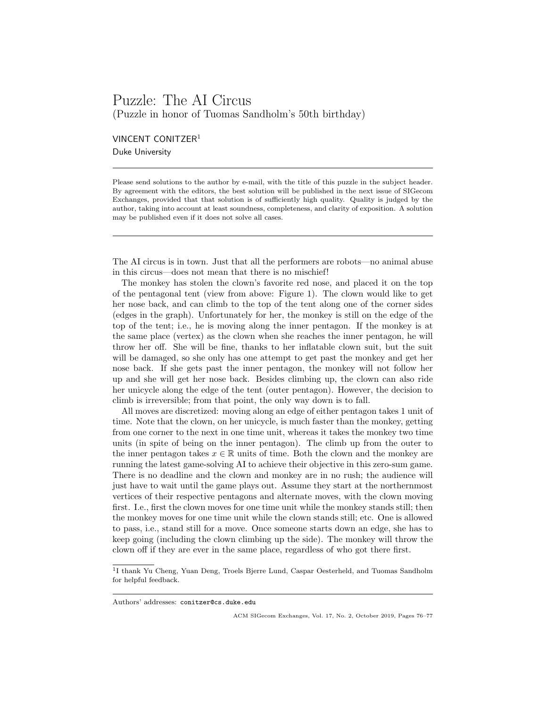## Puzzle: The AI Circus (Puzzle in honor of Tuomas Sandholm's 50th birthday)

VINCENT CONITZER<sup>1</sup> Duke University

Please send solutions to the author by e-mail, with the title of this puzzle in the subject header. By agreement with the editors, the best solution will be published in the next issue of SIGecom Exchanges, provided that that solution is of sufficiently high quality. Quality is judged by the author, taking into account at least soundness, completeness, and clarity of exposition. A solution may be published even if it does not solve all cases.

The AI circus is in town. Just that all the performers are robots—no animal abuse in this circus—does not mean that there is no mischief!

The monkey has stolen the clown's favorite red nose, and placed it on the top of the pentagonal tent (view from above: Figure 1). The clown would like to get her nose back, and can climb to the top of the tent along one of the corner sides (edges in the graph). Unfortunately for her, the monkey is still on the edge of the top of the tent; i.e., he is moving along the inner pentagon. If the monkey is at the same place (vertex) as the clown when she reaches the inner pentagon, he will throw her off. She will be fine, thanks to her inflatable clown suit, but the suit will be damaged, so she only has one attempt to get past the monkey and get her nose back. If she gets past the inner pentagon, the monkey will not follow her up and she will get her nose back. Besides climbing up, the clown can also ride her unicycle along the edge of the tent (outer pentagon). However, the decision to climb is irreversible; from that point, the only way down is to fall.

All moves are discretized: moving along an edge of either pentagon takes 1 unit of time. Note that the clown, on her unicycle, is much faster than the monkey, getting from one corner to the next in one time unit, whereas it takes the monkey two time units (in spite of being on the inner pentagon). The climb up from the outer to the inner pentagon takes  $x \in \mathbb{R}$  units of time. Both the clown and the monkey are running the latest game-solving AI to achieve their objective in this zero-sum game. There is no deadline and the clown and monkey are in no rush; the audience will just have to wait until the game plays out. Assume they start at the northernmost vertices of their respective pentagons and alternate moves, with the clown moving first. I.e., first the clown moves for one time unit while the monkey stands still; then the monkey moves for one time unit while the clown stands still; etc. One is allowed to pass, i.e., stand still for a move. Once someone starts down an edge, she has to keep going (including the clown climbing up the side). The monkey will throw the clown off if they are ever in the same place, regardless of who got there first.

<sup>&</sup>lt;sup>1</sup>I thank Yu Cheng, Yuan Deng, Troels Bjerre Lund, Caspar Oesterheld, and Tuomas Sandholm for helpful feedback.

Authors' addresses: conitzer@cs.duke.edu

ACM SIGecom Exchanges, Vol. 17, No. 2, October 2019, Pages 76–77